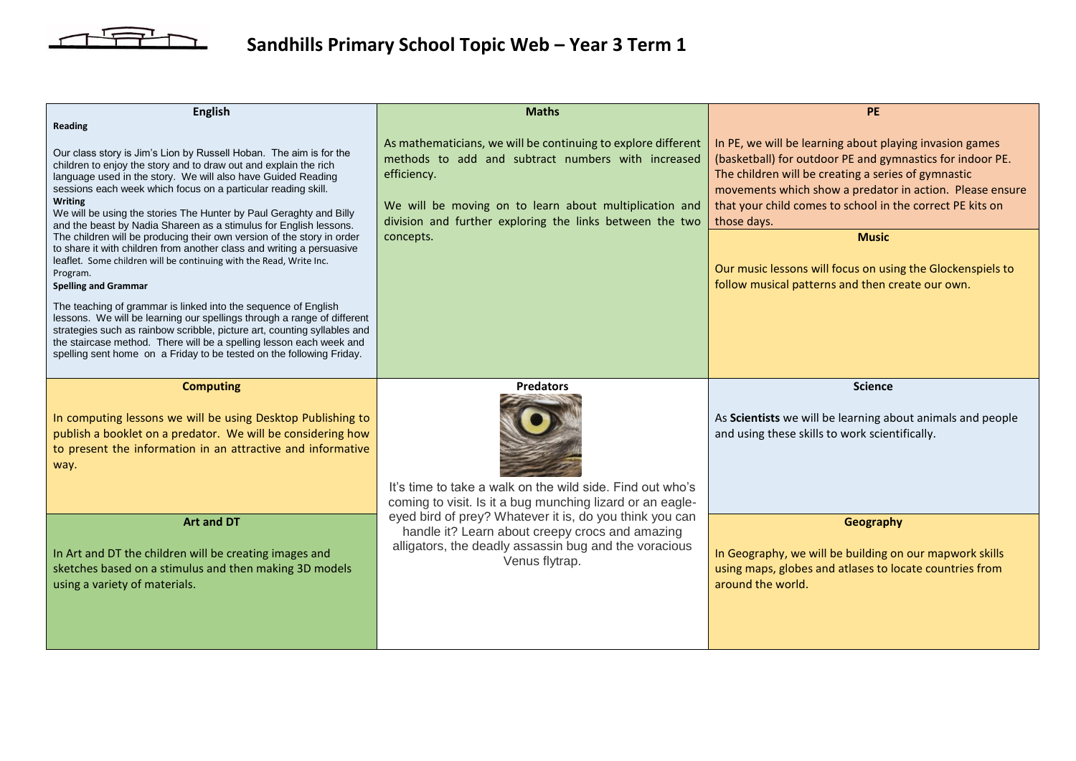

## **Sandhills Primary School Topic Web – Year 3 Term 1**

| <b>English</b>                                                                                                                                                                                                                                                                                                                                                                                                                                                                                                                                                                                                                                                                                                                                                                                                                                                                                                                                                                                                                                                                               | <b>Maths</b>                                                                                                                                                                                                                                                          | <b>PE</b>                                                                                                                                                                                                                                                                                                                                                                                                                                             |
|----------------------------------------------------------------------------------------------------------------------------------------------------------------------------------------------------------------------------------------------------------------------------------------------------------------------------------------------------------------------------------------------------------------------------------------------------------------------------------------------------------------------------------------------------------------------------------------------------------------------------------------------------------------------------------------------------------------------------------------------------------------------------------------------------------------------------------------------------------------------------------------------------------------------------------------------------------------------------------------------------------------------------------------------------------------------------------------------|-----------------------------------------------------------------------------------------------------------------------------------------------------------------------------------------------------------------------------------------------------------------------|-------------------------------------------------------------------------------------------------------------------------------------------------------------------------------------------------------------------------------------------------------------------------------------------------------------------------------------------------------------------------------------------------------------------------------------------------------|
| Reading<br>Our class story is Jim's Lion by Russell Hoban. The aim is for the<br>children to enjoy the story and to draw out and explain the rich<br>language used in the story. We will also have Guided Reading<br>sessions each week which focus on a particular reading skill.<br><b>Writing</b><br>We will be using the stories The Hunter by Paul Geraghty and Billy<br>and the beast by Nadia Shareen as a stimulus for English lessons.<br>The children will be producing their own version of the story in order<br>to share it with children from another class and writing a persuasive<br>leaflet. Some children will be continuing with the Read, Write Inc.<br>Program.<br><b>Spelling and Grammar</b><br>The teaching of grammar is linked into the sequence of English<br>lessons. We will be learning our spellings through a range of different<br>strategies such as rainbow scribble, picture art, counting syllables and<br>the staircase method. There will be a spelling lesson each week and<br>spelling sent home on a Friday to be tested on the following Friday. | As mathematicians, we will be continuing to explore different<br>methods to add and subtract numbers with increased<br>efficiency.<br>We will be moving on to learn about multiplication and<br>division and further exploring the links between the two<br>concepts. | In PE, we will be learning about playing invasion games<br>(basketball) for outdoor PE and gymnastics for indoor PE.<br>The children will be creating a series of gymnastic<br>movements which show a predator in action. Please ensure<br>that your child comes to school in the correct PE kits on<br>those days.<br><b>Music</b><br>Our music lessons will focus on using the Glockenspiels to<br>follow musical patterns and then create our own. |
| <b>Computing</b><br>In computing lessons we will be using Desktop Publishing to<br>publish a booklet on a predator. We will be considering how<br>to present the information in an attractive and informative<br>way.                                                                                                                                                                                                                                                                                                                                                                                                                                                                                                                                                                                                                                                                                                                                                                                                                                                                        | <b>Predators</b><br>It's time to take a walk on the wild side. Find out who's<br>coming to visit. Is it a bug munching lizard or an eagle-                                                                                                                            | <b>Science</b><br>As Scientists we will be learning about animals and people<br>and using these skills to work scientifically.                                                                                                                                                                                                                                                                                                                        |
| <b>Art and DT</b><br>In Art and DT the children will be creating images and<br>sketches based on a stimulus and then making 3D models<br>using a variety of materials.                                                                                                                                                                                                                                                                                                                                                                                                                                                                                                                                                                                                                                                                                                                                                                                                                                                                                                                       | eyed bird of prey? Whatever it is, do you think you can<br>handle it? Learn about creepy crocs and amazing<br>alligators, the deadly assassin bug and the voracious<br>Venus flytrap.                                                                                 | Geography<br>In Geography, we will be building on our mapwork skills<br>using maps, globes and atlases to locate countries from<br>around the world.                                                                                                                                                                                                                                                                                                  |